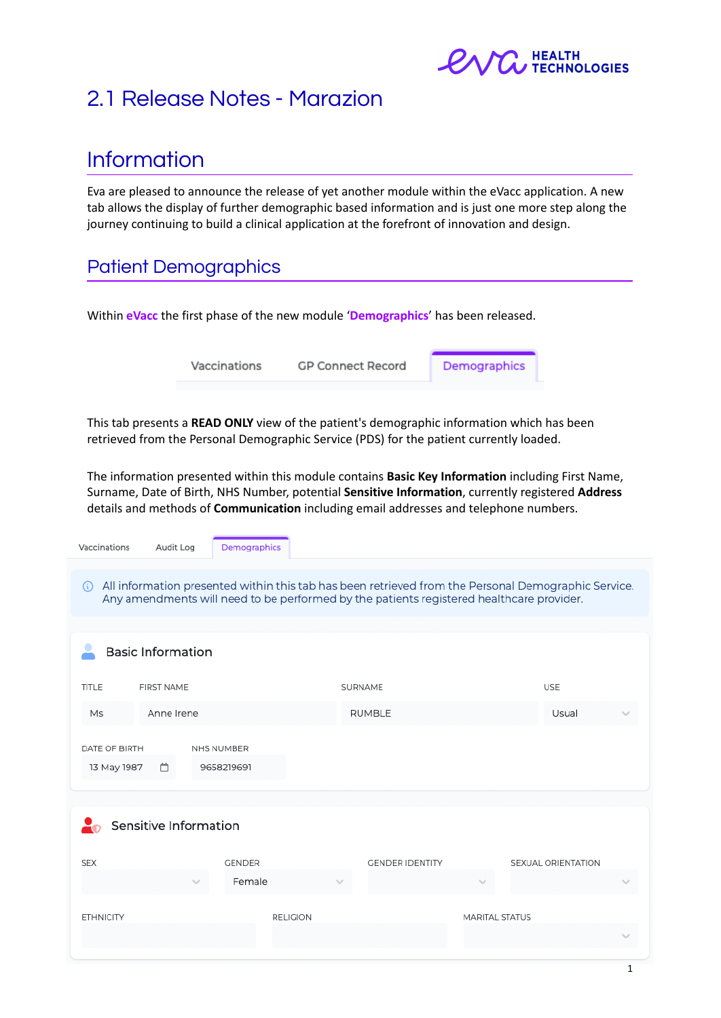

## 2.1 Release Notes - Marazion

# Information

Eva are pleased to announce the release of yet another module within the eVacc application. A new tab allows the display of further demographic based information and is just one more step along the journey continuing to build a clinical application at the forefront of innovation and design.

### Patient Demographics

Within **eVacc** the first phase of the new module '**Demographics**' has been released.

Vaccinations **GP Connect Record**  Demographics

This tab presents a **READ ONLY** view of the patient's demographic information which has been retrieved from the Personal Demographic Service (PDS) for the patient currently loaded.

The information presented within this module contains **Basic Key Information** including First Name, Surname, Date of Birth, NHS Number, potential **Sensitive Information**, currently registered **Address** details and methods of **Communication** including email addresses and telephone numbers.

| Vaccinations<br>Audit Log         | Demographics             |                                                                                                                                                                                                 |                |                    |  |
|-----------------------------------|--------------------------|-------------------------------------------------------------------------------------------------------------------------------------------------------------------------------------------------|----------------|--------------------|--|
| $\bigcirc$                        |                          | All information presented within this tab has been retrieved from the Personal Demographic Service.<br>Any amendments will need to be performed by the patients registered healthcare provider. |                |                    |  |
| <b>Basic Information</b>          |                          |                                                                                                                                                                                                 |                |                    |  |
| <b>TITLE</b><br><b>FIRST NAME</b> |                          |                                                                                                                                                                                                 |                | <b>USE</b>         |  |
| Anne Irene<br>Ms                  |                          | <b>RUMBLE</b>                                                                                                                                                                                   |                | Usual              |  |
| DATE OF BIRTH<br>13 May 1987<br>Ä | NHS NUMBER<br>9658219691 |                                                                                                                                                                                                 |                |                    |  |
| Sensitive Information             |                          |                                                                                                                                                                                                 |                |                    |  |
| <b>SEX</b>                        | <b>GENDER</b>            | <b>GENDER IDENTITY</b>                                                                                                                                                                          |                | SEXUAL ORIENTATION |  |
|                                   | Female                   |                                                                                                                                                                                                 |                |                    |  |
| <b>ETHNICITY</b>                  | <b>RELIGION</b>          |                                                                                                                                                                                                 | MARITAL STATUS |                    |  |
|                                   |                          |                                                                                                                                                                                                 |                |                    |  |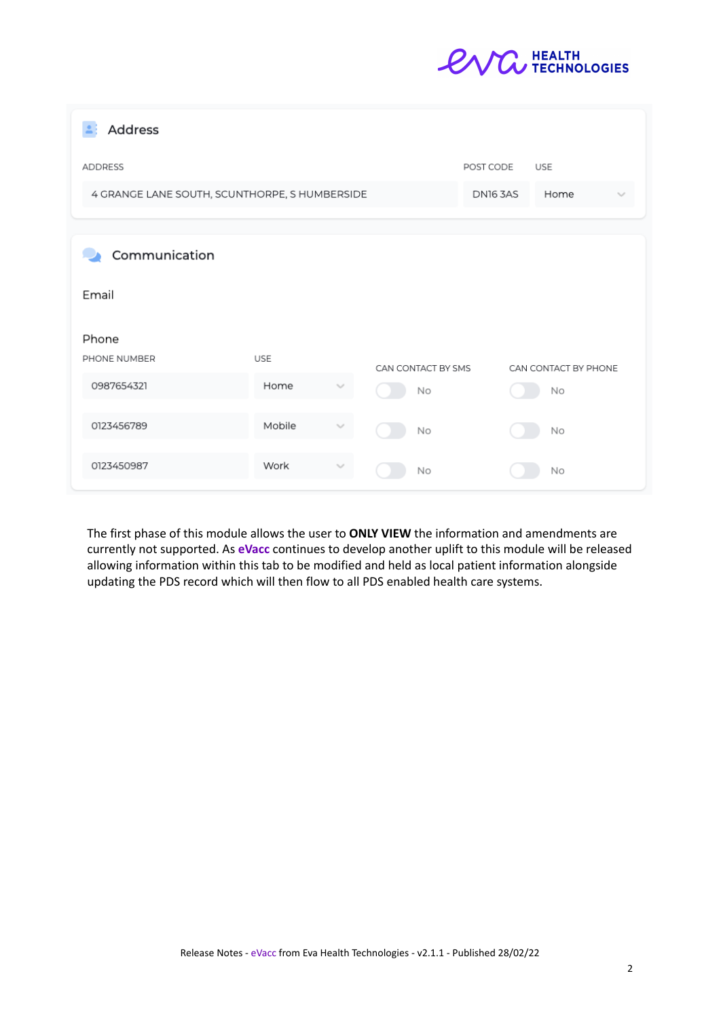

| Address                                       |            |                         |                    |           |                      |  |
|-----------------------------------------------|------------|-------------------------|--------------------|-----------|----------------------|--|
| <b>ADDRESS</b>                                |            |                         |                    | POST CODE | <b>USE</b>           |  |
| 4 GRANGE LANE SOUTH, SCUNTHORPE, S HUMBERSIDE |            | <b>DN16 3AS</b><br>Home |                    |           |                      |  |
| Communication                                 |            |                         |                    |           |                      |  |
| Email                                         |            |                         |                    |           |                      |  |
| Phone                                         |            |                         |                    |           |                      |  |
| PHONE NUMBER                                  | <b>USE</b> |                         | CAN CONTACT BY SMS |           | CAN CONTACT BY PHONE |  |
| 0987654321                                    | Home       |                         | No                 |           | No                   |  |
| 0123456789                                    | Mobile     |                         | No                 |           | No                   |  |
| 0123450987                                    | Work       |                         | No                 |           | No                   |  |

The first phase of this module allows the user to **ONLY VIEW** the information and amendments are currently not supported. As **eVacc** continues to develop another uplift to this module will be released allowing information within this tab to be modified and held as local patient information alongside updating the PDS record which will then flow to all PDS enabled health care systems.